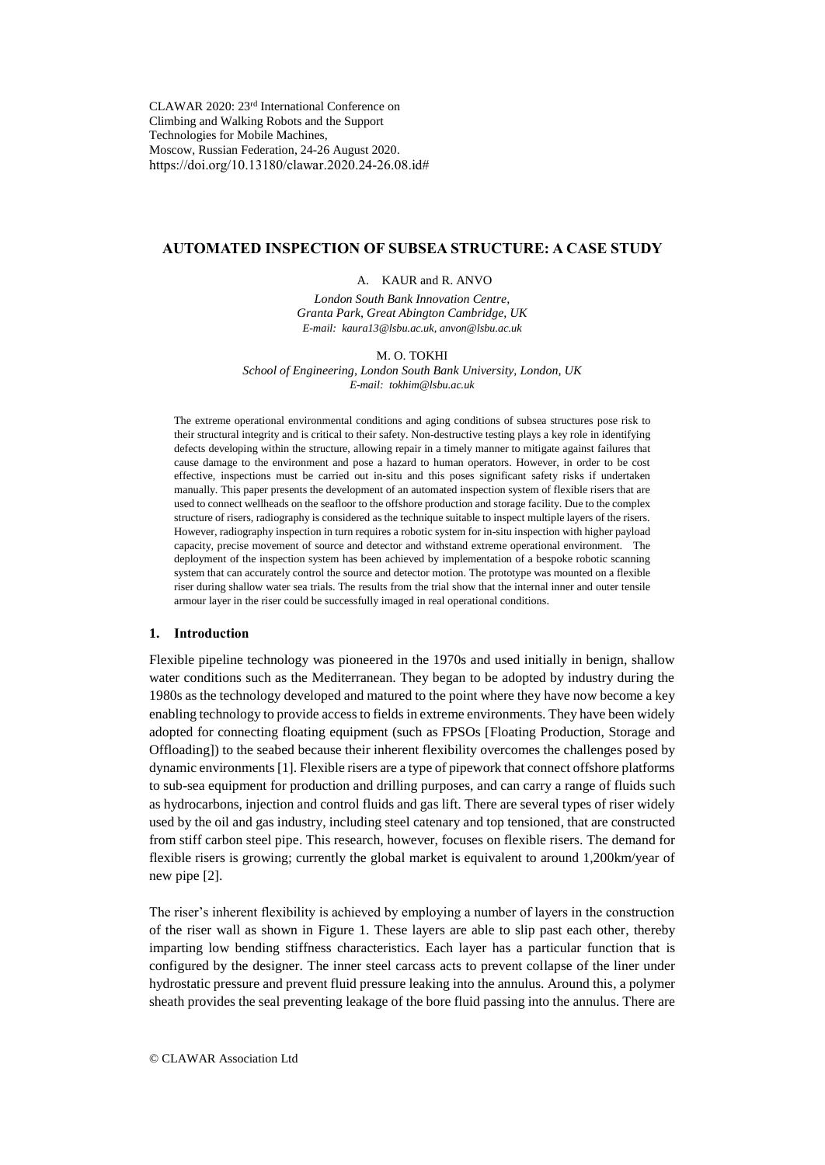CLAWAR 2020: 23<sup>rd</sup> International Conference on Climbing and Walking Robots and the Support Technologies for Mobile Machines, Moscow, Russian Federation, 24-26 August 2020. https://doi.org/10.13180/clawar.2020.24-26.08.id#

## **AUTOMATED INSPECTION OF SUBSEA STRUCTURE: A CASE STUDY**

### A. KAUR and R. ANVO

*London South Bank Innovation Centre, Granta Park, Great Abington Cambridge, UK E-mail: kaura13@lsbu.ac.uk, anvon@lsbu.ac.uk*

#### M. O. TOKHI

*School of Engineering, London South Bank University, London, UK E-mail: tokhim@lsbu.ac.uk* 

The extreme operational environmental conditions and aging conditions of subsea structures pose risk to their structural integrity and is critical to their safety. Non-destructive testing plays a key role in identifying defects developing within the structure, allowing repair in a timely manner to mitigate against failures that cause damage to the environment and pose a hazard to human operators. However, in order to be cost effective, inspections must be carried out in-situ and this poses significant safety risks if undertaken manually. This paper presents the development of an automated inspection system of flexible risers that are used to connect wellheads on the seafloor to the offshore production and storage facility. Due to the complex structure of risers, radiography is considered as the technique suitable to inspect multiple layers of the risers. However, radiography inspection in turn requires a robotic system for in-situ inspection with higher payload capacity, precise movement of source and detector and withstand extreme operational environment. The deployment of the inspection system has been achieved by implementation of a bespoke robotic scanning system that can accurately control the source and detector motion. The prototype was mounted on a flexible riser during shallow water sea trials. The results from the trial show that the internal inner and outer tensile armour layer in the riser could be successfully imaged in real operational conditions.

# **1. Introduction**

Flexible pipeline technology was pioneered in the 1970s and used initially in benign, shallow water conditions such as the Mediterranean. They began to be adopted by industry during the 1980s as the technology developed and matured to the point where they have now become a key enabling technology to provide access to fields in extreme environments. They have been widely adopted for connecting floating equipment (such as FPSOs [Floating Production, Storage and Offloading]) to the seabed because their inherent flexibility overcomes the challenges posed by dynamic environments [1]. Flexible risers are a type of pipework that connect offshore platforms to sub-sea equipment for production and drilling purposes, and can carry a range of fluids such as hydrocarbons, injection and control fluids and gas lift. There are several types of riser widely used by the oil and gas industry, including steel catenary and top tensioned, that are constructed from stiff carbon steel pipe. This research, however, focuses on flexible risers. The demand for flexible risers is growing; currently the global market is equivalent to around 1,200km/year of new pipe [2].

The riser's inherent flexibility is achieved by employing a number of layers in the construction of the riser wall as shown in Figure 1. These layers are able to slip past each other, thereby imparting low bending stiffness characteristics. Each layer has a particular function that is configured by the designer. The inner steel carcass acts to prevent collapse of the liner under hydrostatic pressure and prevent fluid pressure leaking into the annulus. Around this, a polymer sheath provides the seal preventing leakage of the bore fluid passing into the annulus. There are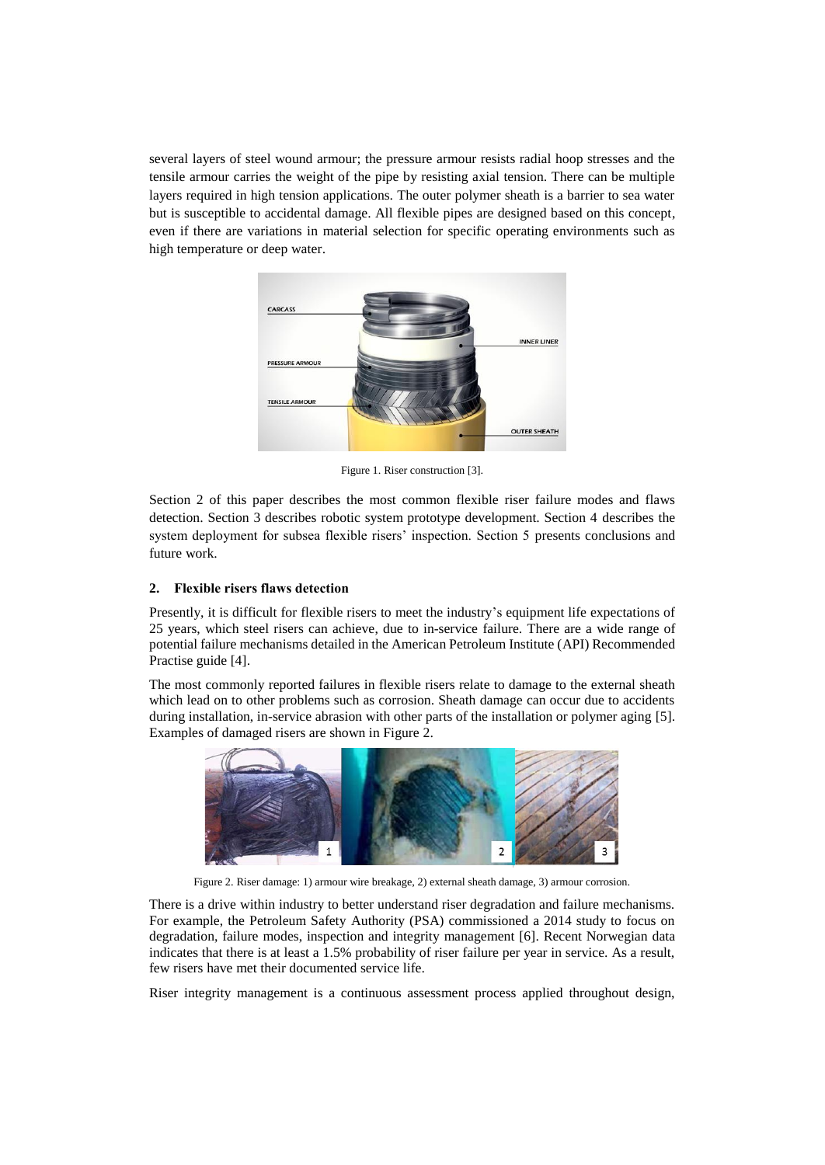several layers of steel wound armour; the pressure armour resists radial hoop stresses and the tensile armour carries the weight of the pipe by resisting axial tension. There can be multiple layers required in high tension applications. The outer polymer sheath is a barrier to sea water but is susceptible to accidental damage. All flexible pipes are designed based on this concept, even if there are variations in material selection for specific operating environments such as high temperature or deep water.



Figure 1. Riser construction [3].

Section 2 of this paper describes the most common flexible riser failure modes and flaws detection. Section 3 describes robotic system prototype development. Section 4 describes the system deployment for subsea flexible risers' inspection. Section 5 presents conclusions and future work.

# **2. Flexible risers flaws detection**

Presently, it is difficult for flexible risers to meet the industry's equipment life expectations of 25 years, which steel risers can achieve, due to in-service failure. There are a wide range of potential failure mechanisms detailed in the American Petroleum Institute (API) Recommended Practise guide [4].

The most commonly reported failures in flexible risers relate to damage to the external sheath which lead on to other problems such as corrosion. Sheath damage can occur due to accidents during installation, in-service abrasion with other parts of the installation or polymer aging [5]. Examples of damaged risers are shown in Figure 2.



Figure 2. Riser damage: 1) armour wire breakage, 2) external sheath damage, 3) armour corrosion.

There is a drive within industry to better understand riser degradation and failure mechanisms. For example, the Petroleum Safety Authority (PSA) commissioned a 2014 study to focus on degradation, failure modes, inspection and integrity management [6]. Recent Norwegian data indicates that there is at least a 1.5% probability of riser failure per year in service. As a result, few risers have met their documented service life.

Riser integrity management is a continuous assessment process applied throughout design,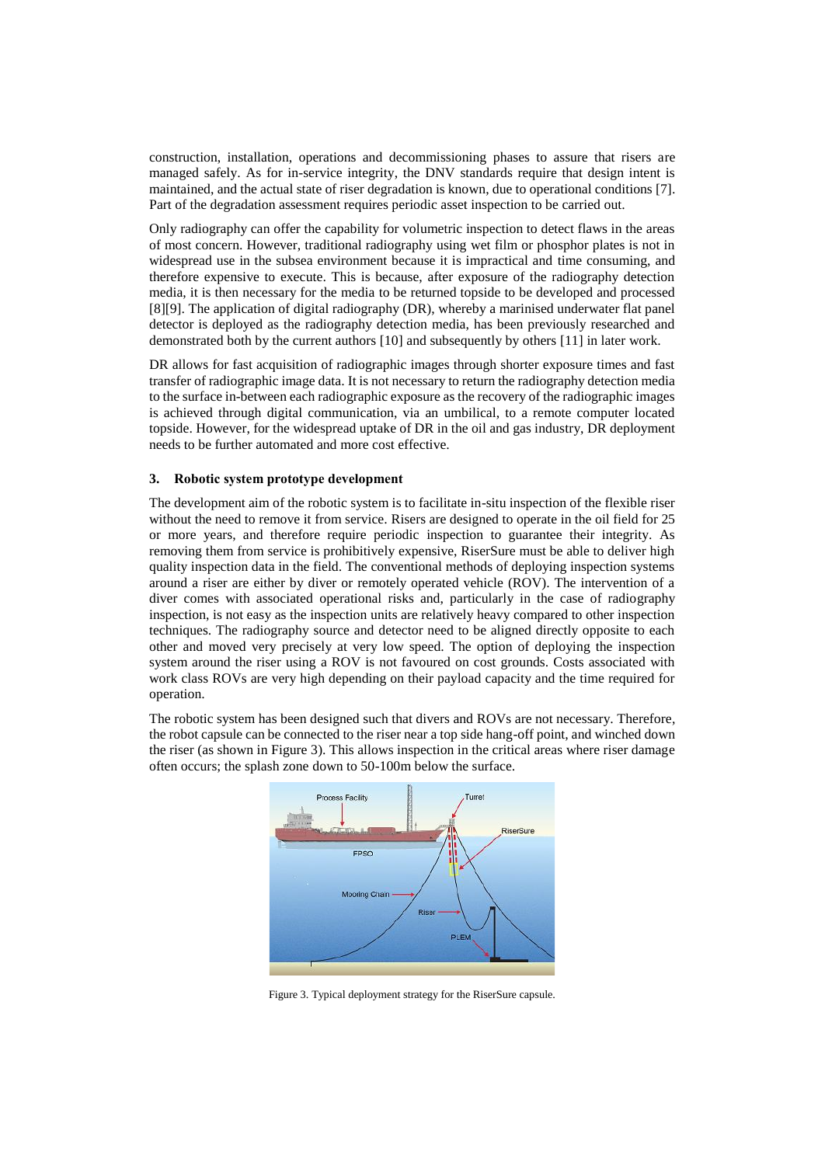construction, installation, operations and decommissioning phases to assure that risers are managed safely. As for in-service integrity, the DNV standards require that design intent is maintained, and the actual state of riser degradation is known, due to operational conditions [7]. Part of the degradation assessment requires periodic asset inspection to be carried out.

Only radiography can offer the capability for volumetric inspection to detect flaws in the areas of most concern. However, traditional radiography using wet film or phosphor plates is not in widespread use in the subsea environment because it is impractical and time consuming, and therefore expensive to execute. This is because, after exposure of the radiography detection media, it is then necessary for the media to be returned topside to be developed and processed [8][9]. The application of digital radiography (DR), whereby a marinised underwater flat panel detector is deployed as the radiography detection media, has been previously researched and demonstrated both by the current authors [10] and subsequently by others [11] in later work.

DR allows for fast acquisition of radiographic images through shorter exposure times and fast transfer of radiographic image data. It is not necessary to return the radiography detection media to the surface in-between each radiographic exposure as the recovery of the radiographic images is achieved through digital communication, via an umbilical, to a remote computer located topside. However, for the widespread uptake of DR in the oil and gas industry, DR deployment needs to be further automated and more cost effective.

### **3. Robotic system prototype development**

The development aim of the robotic system is to facilitate in-situ inspection of the flexible riser without the need to remove it from service. Risers are designed to operate in the oil field for 25 or more years, and therefore require periodic inspection to guarantee their integrity. As removing them from service is prohibitively expensive, RiserSure must be able to deliver high quality inspection data in the field. The conventional methods of deploying inspection systems around a riser are either by diver or remotely operated vehicle (ROV). The intervention of a diver comes with associated operational risks and, particularly in the case of radiography inspection, is not easy as the inspection units are relatively heavy compared to other inspection techniques. The radiography source and detector need to be aligned directly opposite to each other and moved very precisely at very low speed. The option of deploying the inspection system around the riser using a ROV is not favoured on cost grounds. Costs associated with work class ROVs are very high depending on their payload capacity and the time required for operation.

The robotic system has been designed such that divers and ROVs are not necessary. Therefore, the robot capsule can be connected to the riser near a top side hang-off point, and winched down the riser (as shown in Figure 3). This allows inspection in the critical areas where riser damage often occurs; the splash zone down to 50-100m below the surface.



Figure 3. Typical deployment strategy for the RiserSure capsule.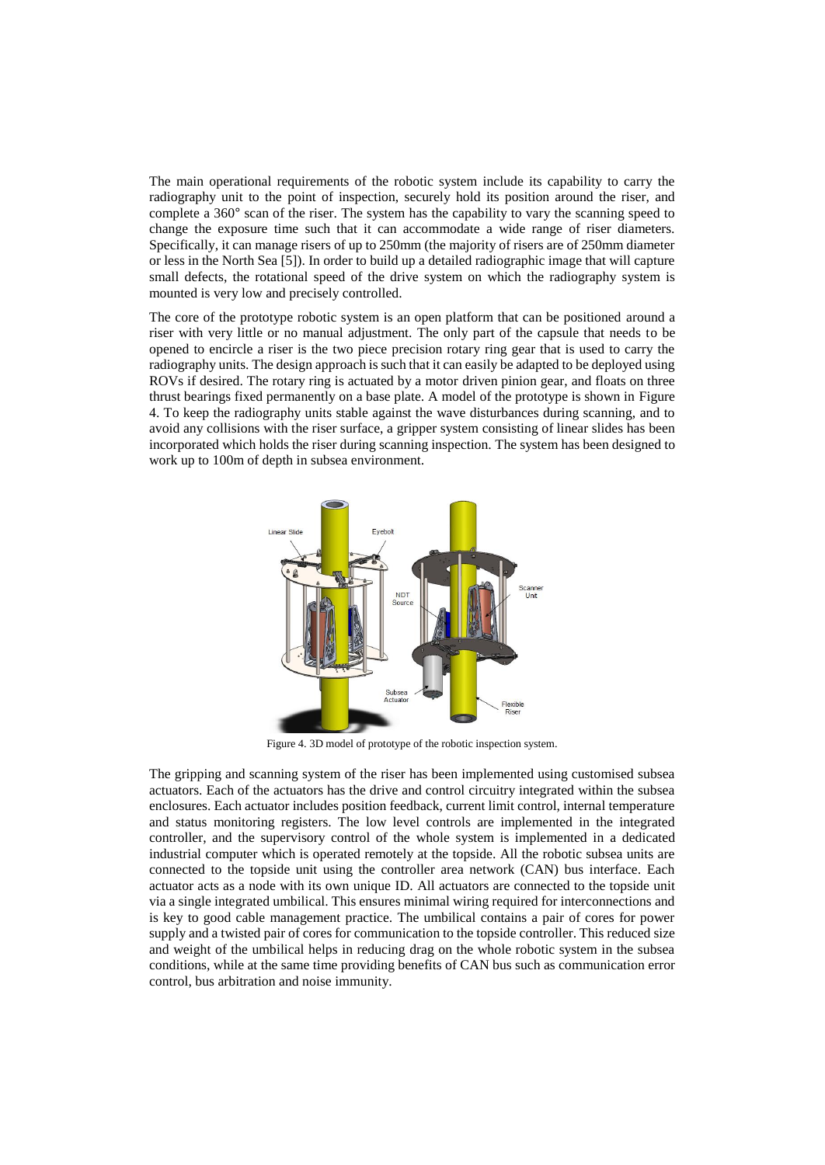The main operational requirements of the robotic system include its capability to carry the radiography unit to the point of inspection, securely hold its position around the riser, and complete a 360° scan of the riser. The system has the capability to vary the scanning speed to change the exposure time such that it can accommodate a wide range of riser diameters. Specifically, it can manage risers of up to 250mm (the majority of risers are of 250mm diameter or less in the North Sea [5]). In order to build up a detailed radiographic image that will capture small defects, the rotational speed of the drive system on which the radiography system is mounted is very low and precisely controlled.

The core of the prototype robotic system is an open platform that can be positioned around a riser with very little or no manual adjustment. The only part of the capsule that needs to be opened to encircle a riser is the two piece precision rotary ring gear that is used to carry the radiography units. The design approach is such that it can easily be adapted to be deployed using ROVs if desired. The rotary ring is actuated by a motor driven pinion gear, and floats on three thrust bearings fixed permanently on a base plate. A model of the prototype is shown in Figure 4. To keep the radiography units stable against the wave disturbances during scanning, and to avoid any collisions with the riser surface, a gripper system consisting of linear slides has been incorporated which holds the riser during scanning inspection. The system has been designed to work up to 100m of depth in subsea environment.



Figure 4. 3D model of prototype of the robotic inspection system.

The gripping and scanning system of the riser has been implemented using customised subsea actuators. Each of the actuators has the drive and control circuitry integrated within the subsea enclosures. Each actuator includes position feedback, current limit control, internal temperature and status monitoring registers. The low level controls are implemented in the integrated controller, and the supervisory control of the whole system is implemented in a dedicated industrial computer which is operated remotely at the topside. All the robotic subsea units are connected to the topside unit using the controller area network (CAN) bus interface. Each actuator acts as a node with its own unique ID. All actuators are connected to the topside unit via a single integrated umbilical. This ensures minimal wiring required for interconnections and is key to good cable management practice. The umbilical contains a pair of cores for power supply and a twisted pair of cores for communication to the topside controller. This reduced size and weight of the umbilical helps in reducing drag on the whole robotic system in the subsea conditions, while at the same time providing benefits of CAN bus such as communication error control, bus arbitration and noise immunity.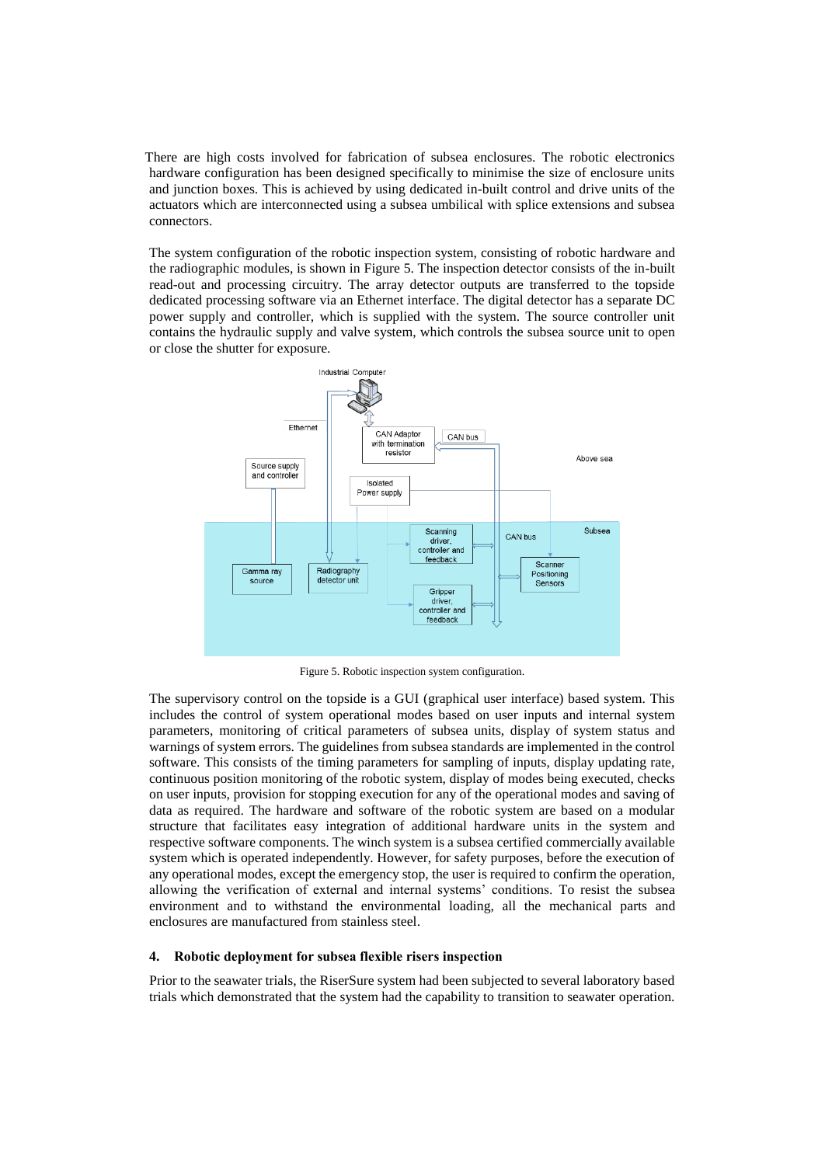There are high costs involved for fabrication of subsea enclosures. The robotic electronics hardware configuration has been designed specifically to minimise the size of enclosure units and junction boxes. This is achieved by using dedicated in-built control and drive units of the actuators which are interconnected using a subsea umbilical with splice extensions and subsea connectors.

The system configuration of the robotic inspection system, consisting of robotic hardware and the radiographic modules, is shown in Figure 5. The inspection detector consists of the in-built read-out and processing circuitry. The array detector outputs are transferred to the topside dedicated processing software via an Ethernet interface. The digital detector has a separate DC power supply and controller, which is supplied with the system. The source controller unit contains the hydraulic supply and valve system, which controls the subsea source unit to open or close the shutter for exposure.



Figure 5. Robotic inspection system configuration.

The supervisory control on the topside is a GUI (graphical user interface) based system. This includes the control of system operational modes based on user inputs and internal system parameters, monitoring of critical parameters of subsea units, display of system status and warnings of system errors. The guidelines from subsea standards are implemented in the control software. This consists of the timing parameters for sampling of inputs, display updating rate, continuous position monitoring of the robotic system, display of modes being executed, checks on user inputs, provision for stopping execution for any of the operational modes and saving of data as required. The hardware and software of the robotic system are based on a modular structure that facilitates easy integration of additional hardware units in the system and respective software components. The winch system is a subsea certified commercially available system which is operated independently. However, for safety purposes, before the execution of any operational modes, except the emergency stop, the user is required to confirm the operation, allowing the verification of external and internal systems' conditions. To resist the subsea environment and to withstand the environmental loading, all the mechanical parts and enclosures are manufactured from stainless steel.

#### **4. Robotic deployment for subsea flexible risers inspection**

Prior to the seawater trials, the RiserSure system had been subjected to several laboratory based trials which demonstrated that the system had the capability to transition to seawater operation.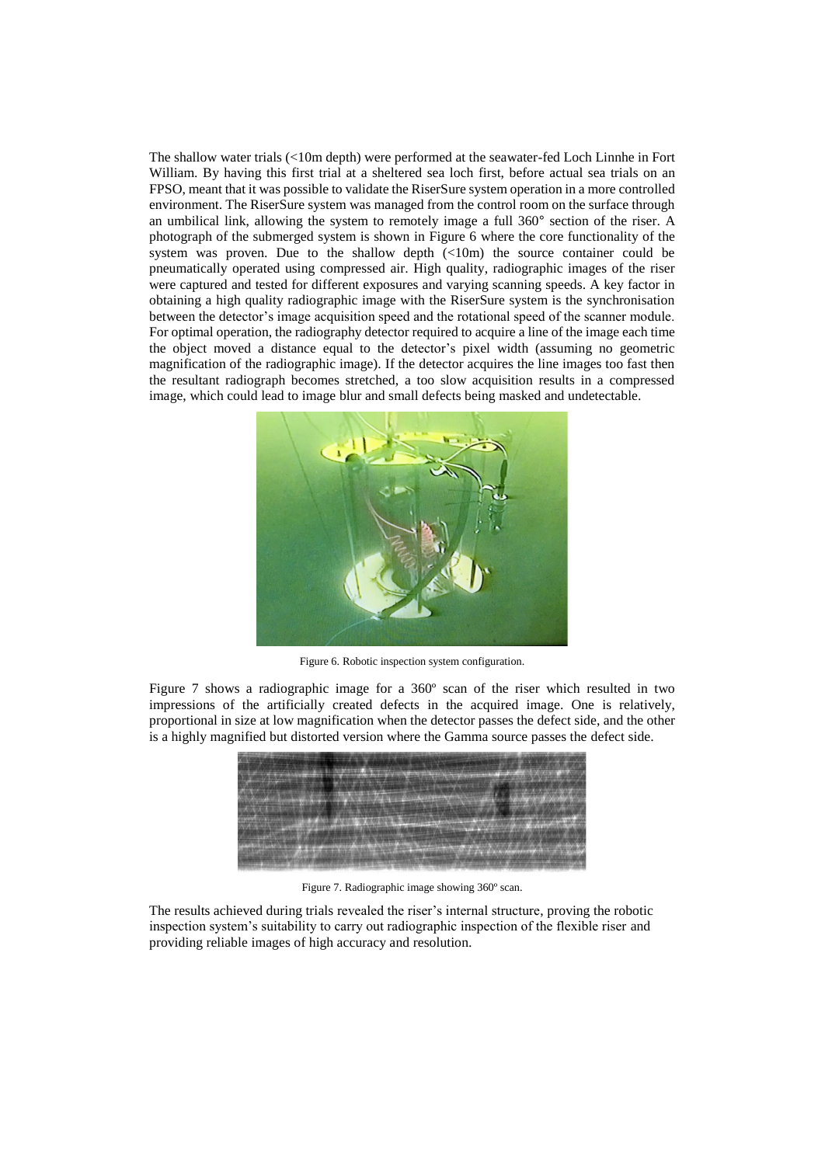The shallow water trials (<10m depth) were performed at the seawater-fed Loch Linnhe in Fort William. By having this first trial at a sheltered sea loch first, before actual sea trials on an FPSO, meant that it was possible to validate the RiserSure system operation in a more controlled environment. The RiserSure system was managed from the control room on the surface through an umbilical link, allowing the system to remotely image a full 360° section of the riser. A photograph of the submerged system is shown in Figure 6 where the core functionality of the system was proven. Due to the shallow depth  $\ll 10$ m) the source container could be pneumatically operated using compressed air. High quality, radiographic images of the riser were captured and tested for different exposures and varying scanning speeds. A key factor in obtaining a high quality radiographic image with the RiserSure system is the synchronisation between the detector's image acquisition speed and the rotational speed of the scanner module. For optimal operation, the radiography detector required to acquire a line of the image each time the object moved a distance equal to the detector's pixel width (assuming no geometric magnification of the radiographic image). If the detector acquires the line images too fast then the resultant radiograph becomes stretched, a too slow acquisition results in a compressed image, which could lead to image blur and small defects being masked and undetectable.



Figure 6. Robotic inspection system configuration.

Figure 7 shows a radiographic image for a 360º scan of the riser which resulted in two impressions of the artificially created defects in the acquired image. One is relatively, proportional in size at low magnification when the detector passes the defect side, and the other is a highly magnified but distorted version where the Gamma source passes the defect side.



Figure 7. Radiographic image showing 360º scan.

The results achieved during trials revealed the riser's internal structure, proving the robotic inspection system's suitability to carry out radiographic inspection of the flexible riser and providing reliable images of high accuracy and resolution.